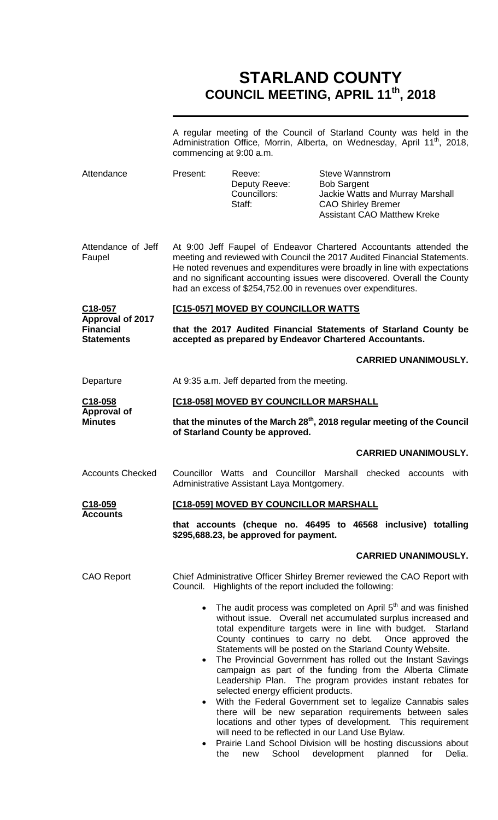# **STARLAND COUNTY COUNCIL MEETING, APRIL 11th, 2018**

|                                                                             | A regular meeting of the Council of Starland County was held in the<br>Administration Office, Morrin, Alberta, on Wednesday, April 11 <sup>th</sup> , 2018,<br>commencing at 9:00 a.m.                                                                                                                                                                                  |                                                                                                                                                      |                                                                           |                                                                                                                                                                                                                                                                                                                                                                                                                                                                                                                                                                                                                                                                                                                     |  |
|-----------------------------------------------------------------------------|-------------------------------------------------------------------------------------------------------------------------------------------------------------------------------------------------------------------------------------------------------------------------------------------------------------------------------------------------------------------------|------------------------------------------------------------------------------------------------------------------------------------------------------|---------------------------------------------------------------------------|---------------------------------------------------------------------------------------------------------------------------------------------------------------------------------------------------------------------------------------------------------------------------------------------------------------------------------------------------------------------------------------------------------------------------------------------------------------------------------------------------------------------------------------------------------------------------------------------------------------------------------------------------------------------------------------------------------------------|--|
| Attendance                                                                  | Present:                                                                                                                                                                                                                                                                                                                                                                | Reeve:<br>Deputy Reeve:<br>Councillors:<br>Staff:                                                                                                    | <b>Steve Wannstrom</b><br><b>Bob Sargent</b><br><b>CAO Shirley Bremer</b> | Jackie Watts and Murray Marshall<br><b>Assistant CAO Matthew Kreke</b>                                                                                                                                                                                                                                                                                                                                                                                                                                                                                                                                                                                                                                              |  |
| Attendance of Jeff<br>Faupel                                                | At 9:00 Jeff Faupel of Endeavor Chartered Accountants attended the<br>meeting and reviewed with Council the 2017 Audited Financial Statements.<br>He noted revenues and expenditures were broadly in line with expectations<br>and no significant accounting issues were discovered. Overall the County<br>had an excess of \$254,752.00 in revenues over expenditures. |                                                                                                                                                      |                                                                           |                                                                                                                                                                                                                                                                                                                                                                                                                                                                                                                                                                                                                                                                                                                     |  |
| C18-057<br><b>Approval of 2017</b><br><b>Financial</b><br><b>Statements</b> | [C15-057] MOVED BY COUNCILLOR WATTS                                                                                                                                                                                                                                                                                                                                     |                                                                                                                                                      |                                                                           |                                                                                                                                                                                                                                                                                                                                                                                                                                                                                                                                                                                                                                                                                                                     |  |
|                                                                             | that the 2017 Audited Financial Statements of Starland County be<br>accepted as prepared by Endeavor Chartered Accountants.                                                                                                                                                                                                                                             |                                                                                                                                                      |                                                                           |                                                                                                                                                                                                                                                                                                                                                                                                                                                                                                                                                                                                                                                                                                                     |  |
|                                                                             |                                                                                                                                                                                                                                                                                                                                                                         |                                                                                                                                                      |                                                                           | <b>CARRIED UNANIMOUSLY.</b>                                                                                                                                                                                                                                                                                                                                                                                                                                                                                                                                                                                                                                                                                         |  |
| Departure                                                                   | At 9:35 a.m. Jeff departed from the meeting.                                                                                                                                                                                                                                                                                                                            |                                                                                                                                                      |                                                                           |                                                                                                                                                                                                                                                                                                                                                                                                                                                                                                                                                                                                                                                                                                                     |  |
| $C18-058$                                                                   | [C18-058] MOVED BY COUNCILLOR MARSHALL                                                                                                                                                                                                                                                                                                                                  |                                                                                                                                                      |                                                                           |                                                                                                                                                                                                                                                                                                                                                                                                                                                                                                                                                                                                                                                                                                                     |  |
| <b>Approval of</b><br><b>Minutes</b>                                        | that the minutes of the March 28 <sup>th</sup> , 2018 regular meeting of the Council<br>of Starland County be approved.                                                                                                                                                                                                                                                 |                                                                                                                                                      |                                                                           |                                                                                                                                                                                                                                                                                                                                                                                                                                                                                                                                                                                                                                                                                                                     |  |
|                                                                             |                                                                                                                                                                                                                                                                                                                                                                         |                                                                                                                                                      |                                                                           | <b>CARRIED UNANIMOUSLY.</b>                                                                                                                                                                                                                                                                                                                                                                                                                                                                                                                                                                                                                                                                                         |  |
| <b>Accounts Checked</b>                                                     | Councillor Watts and Councillor Marshall<br>checked accounts<br>with<br>Administrative Assistant Laya Montgomery.                                                                                                                                                                                                                                                       |                                                                                                                                                      |                                                                           |                                                                                                                                                                                                                                                                                                                                                                                                                                                                                                                                                                                                                                                                                                                     |  |
| C18-059                                                                     | [C18-059] MOVED BY COUNCILLOR MARSHALL                                                                                                                                                                                                                                                                                                                                  |                                                                                                                                                      |                                                                           |                                                                                                                                                                                                                                                                                                                                                                                                                                                                                                                                                                                                                                                                                                                     |  |
| <b>Accounts</b>                                                             |                                                                                                                                                                                                                                                                                                                                                                         | \$295,688.23, be approved for payment.                                                                                                               |                                                                           | that accounts (cheque no. 46495 to 46568 inclusive) totalling                                                                                                                                                                                                                                                                                                                                                                                                                                                                                                                                                                                                                                                       |  |
|                                                                             |                                                                                                                                                                                                                                                                                                                                                                         |                                                                                                                                                      |                                                                           | <b>CARRIED UNANIMOUSLY.</b>                                                                                                                                                                                                                                                                                                                                                                                                                                                                                                                                                                                                                                                                                         |  |
| <b>CAO Report</b>                                                           | Chief Administrative Officer Shirley Bremer reviewed the CAO Report with<br>Council. Highlights of the report included the following:                                                                                                                                                                                                                                   |                                                                                                                                                      |                                                                           |                                                                                                                                                                                                                                                                                                                                                                                                                                                                                                                                                                                                                                                                                                                     |  |
|                                                                             | $\bullet$<br>$\bullet$                                                                                                                                                                                                                                                                                                                                                  | Statements will be posted on the Starland County Website.<br>selected energy efficient products.<br>will need to be reflected in our Land Use Bylaw. |                                                                           | The audit process was completed on April 5 <sup>th</sup> and was finished<br>without issue. Overall net accumulated surplus increased and<br>total expenditure targets were in line with budget. Starland<br>County continues to carry no debt. Once approved the<br>The Provincial Government has rolled out the Instant Savings<br>campaign as part of the funding from the Alberta Climate<br>Leadership Plan. The program provides instant rebates for<br>With the Federal Government set to legalize Cannabis sales<br>there will be new separation requirements between sales<br>locations and other types of development. This requirement<br>Prairie Land School Division will be hosting discussions about |  |

the new School development planned for Delia.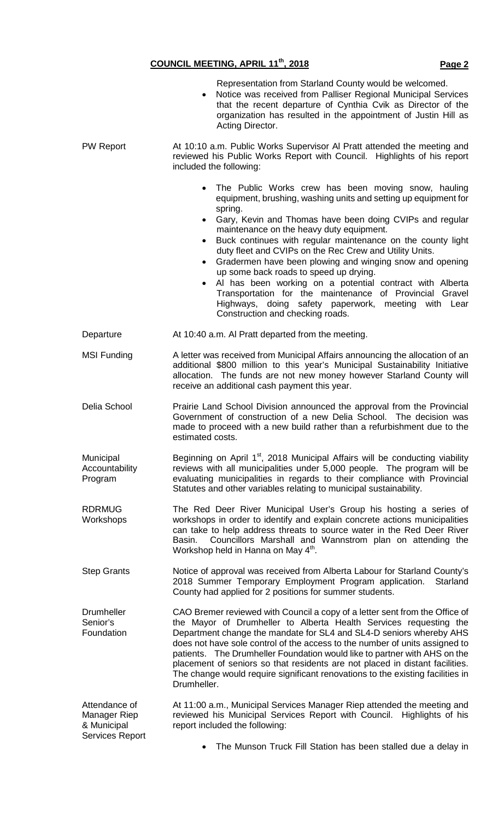## **COUNCIL MEETING, APRIL 11th, 2018 Page 2**

|                                                                        | Representation from Starland County would be welcomed.<br>Notice was received from Palliser Regional Municipal Services<br>that the recent departure of Cynthia Cvik as Director of the<br>organization has resulted in the appointment of Justin Hill as<br>Acting Director.                                                                                                                                                                                                                                                                                                                                                                                                                                                      |  |  |
|------------------------------------------------------------------------|------------------------------------------------------------------------------------------------------------------------------------------------------------------------------------------------------------------------------------------------------------------------------------------------------------------------------------------------------------------------------------------------------------------------------------------------------------------------------------------------------------------------------------------------------------------------------------------------------------------------------------------------------------------------------------------------------------------------------------|--|--|
| <b>PW Report</b>                                                       | At 10:10 a.m. Public Works Supervisor AI Pratt attended the meeting and<br>reviewed his Public Works Report with Council. Highlights of his report<br>included the following:                                                                                                                                                                                                                                                                                                                                                                                                                                                                                                                                                      |  |  |
|                                                                        | The Public Works crew has been moving snow, hauling<br>equipment, brushing, washing units and setting up equipment for<br>spring.<br>Gary, Kevin and Thomas have been doing CVIPs and regular<br>$\bullet$<br>maintenance on the heavy duty equipment.<br>Buck continues with regular maintenance on the county light<br>$\bullet$<br>duty fleet and CVIPs on the Rec Crew and Utility Units.<br>Gradermen have been plowing and winging snow and opening<br>up some back roads to speed up drying.<br>Al has been working on a potential contract with Alberta<br>$\bullet$<br>Transportation for the maintenance of Provincial Gravel<br>Highways, doing safety paperwork, meeting with Lear<br>Construction and checking roads. |  |  |
| Departure                                                              | At 10:40 a.m. Al Pratt departed from the meeting.                                                                                                                                                                                                                                                                                                                                                                                                                                                                                                                                                                                                                                                                                  |  |  |
| <b>MSI Funding</b>                                                     | A letter was received from Municipal Affairs announcing the allocation of an<br>additional \$800 million to this year's Municipal Sustainability Initiative<br>allocation. The funds are not new money however Starland County will<br>receive an additional cash payment this year.                                                                                                                                                                                                                                                                                                                                                                                                                                               |  |  |
| Delia School                                                           | Prairie Land School Division announced the approval from the Provincial<br>Government of construction of a new Delia School. The decision was<br>made to proceed with a new build rather than a refurbishment due to the<br>estimated costs.                                                                                                                                                                                                                                                                                                                                                                                                                                                                                       |  |  |
| Municipal<br>Accountability<br>Program                                 | Beginning on April 1 <sup>st</sup> , 2018 Municipal Affairs will be conducting viability<br>reviews with all municipalities under 5,000 people. The program will be<br>evaluating municipalities in regards to their compliance with Provincial<br>Statutes and other variables relating to municipal sustainability.                                                                                                                                                                                                                                                                                                                                                                                                              |  |  |
| <b>RDRMUG</b><br>Workshops                                             | The Red Deer River Municipal User's Group his hosting a series of<br>workshops in order to identify and explain concrete actions municipalities<br>can take to help address threats to source water in the Red Deer River<br>Councillors Marshall and Wannstrom plan on attending the<br>Basin.<br>Workshop held in Hanna on May 4 <sup>th</sup> .                                                                                                                                                                                                                                                                                                                                                                                 |  |  |
| <b>Step Grants</b>                                                     | Notice of approval was received from Alberta Labour for Starland County's<br>2018 Summer Temporary Employment Program application.<br>Starland<br>County had applied for 2 positions for summer students.                                                                                                                                                                                                                                                                                                                                                                                                                                                                                                                          |  |  |
| <b>Drumheller</b><br>Senior's<br>Foundation                            | CAO Bremer reviewed with Council a copy of a letter sent from the Office of<br>the Mayor of Drumheller to Alberta Health Services requesting the<br>Department change the mandate for SL4 and SL4-D seniors whereby AHS<br>does not have sole control of the access to the number of units assigned to<br>patients. The Drumheller Foundation would like to partner with AHS on the<br>placement of seniors so that residents are not placed in distant facilities.<br>The change would require significant renovations to the existing facilities in<br>Drumheller.                                                                                                                                                               |  |  |
| Attendance of<br>Manager Riep<br>& Municipal<br><b>Services Report</b> | At 11:00 a.m., Municipal Services Manager Riep attended the meeting and<br>reviewed his Municipal Services Report with Council. Highlights of his<br>report included the following:                                                                                                                                                                                                                                                                                                                                                                                                                                                                                                                                                |  |  |
|                                                                        | The Munson Truck Fill Station has been stalled due a delay in<br>$\bullet$                                                                                                                                                                                                                                                                                                                                                                                                                                                                                                                                                                                                                                                         |  |  |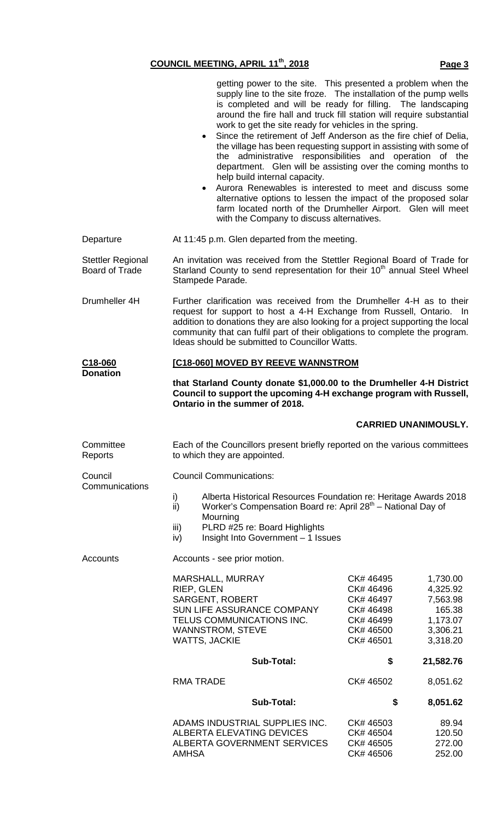getting power to the site. This presented a problem when the

|                                                   | supply line to the site froze. The installation of the pump wells<br>is completed and will be ready for filling. The landscaping<br>around the fire hall and truck fill station will require substantial<br>work to get the site ready for vehicles in the spring.<br>Since the retirement of Jeff Anderson as the fire chief of Delia,<br>$\bullet$<br>the village has been requesting support in assisting with some of<br>the administrative responsibilities and operation of the<br>department. Glen will be assisting over the coming months to<br>help build internal capacity.<br>Aurora Renewables is interested to meet and discuss some<br>$\bullet$<br>alternative options to lessen the impact of the proposed solar<br>farm located north of the Drumheller Airport. Glen will meet<br>with the Company to discuss alternatives. |                                                                                         |                                                                                |  |  |  |
|---------------------------------------------------|------------------------------------------------------------------------------------------------------------------------------------------------------------------------------------------------------------------------------------------------------------------------------------------------------------------------------------------------------------------------------------------------------------------------------------------------------------------------------------------------------------------------------------------------------------------------------------------------------------------------------------------------------------------------------------------------------------------------------------------------------------------------------------------------------------------------------------------------|-----------------------------------------------------------------------------------------|--------------------------------------------------------------------------------|--|--|--|
| Departure                                         | At 11:45 p.m. Glen departed from the meeting.                                                                                                                                                                                                                                                                                                                                                                                                                                                                                                                                                                                                                                                                                                                                                                                                  |                                                                                         |                                                                                |  |  |  |
| <b>Stettler Regional</b><br><b>Board of Trade</b> | An invitation was received from the Stettler Regional Board of Trade for<br>Starland County to send representation for their 10 <sup>th</sup> annual Steel Wheel<br>Stampede Parade.                                                                                                                                                                                                                                                                                                                                                                                                                                                                                                                                                                                                                                                           |                                                                                         |                                                                                |  |  |  |
| Drumheller 4H                                     | Further clarification was received from the Drumheller 4-H as to their<br>request for support to host a 4-H Exchange from Russell, Ontario. In<br>addition to donations they are also looking for a project supporting the local<br>community that can fulfil part of their obligations to complete the program.<br>Ideas should be submitted to Councillor Watts.                                                                                                                                                                                                                                                                                                                                                                                                                                                                             |                                                                                         |                                                                                |  |  |  |
| C <sub>18</sub> -060                              | [C18-060] MOVED BY REEVE WANNSTROM                                                                                                                                                                                                                                                                                                                                                                                                                                                                                                                                                                                                                                                                                                                                                                                                             |                                                                                         |                                                                                |  |  |  |
| <b>Donation</b>                                   | that Starland County donate \$1,000.00 to the Drumheller 4-H District<br>Council to support the upcoming 4-H exchange program with Russell,<br>Ontario in the summer of 2018.                                                                                                                                                                                                                                                                                                                                                                                                                                                                                                                                                                                                                                                                  |                                                                                         |                                                                                |  |  |  |
|                                                   |                                                                                                                                                                                                                                                                                                                                                                                                                                                                                                                                                                                                                                                                                                                                                                                                                                                |                                                                                         | <b>CARRIED UNANIMOUSLY.</b>                                                    |  |  |  |
| Committee<br>Reports                              | Each of the Councillors present briefly reported on the various committees<br>to which they are appointed.                                                                                                                                                                                                                                                                                                                                                                                                                                                                                                                                                                                                                                                                                                                                     |                                                                                         |                                                                                |  |  |  |
| Council                                           | <b>Council Communications:</b>                                                                                                                                                                                                                                                                                                                                                                                                                                                                                                                                                                                                                                                                                                                                                                                                                 |                                                                                         |                                                                                |  |  |  |
| Communications                                    | Alberta Historical Resources Foundation re: Heritage Awards 2018<br>i)<br>Worker's Compensation Board re: April 28th - National Day of<br>ii)<br>Mourning<br>PLRD #25 re: Board Highlights<br>iii)<br>Insight Into Government - 1 Issues<br>iv)                                                                                                                                                                                                                                                                                                                                                                                                                                                                                                                                                                                                |                                                                                         |                                                                                |  |  |  |
| Accounts                                          | Accounts - see prior motion.                                                                                                                                                                                                                                                                                                                                                                                                                                                                                                                                                                                                                                                                                                                                                                                                                   |                                                                                         |                                                                                |  |  |  |
|                                                   | <b>MARSHALL, MURRAY</b><br>RIEP, GLEN<br><b>SARGENT, ROBERT</b><br>SUN LIFE ASSURANCE COMPANY<br>TELUS COMMUNICATIONS INC.<br><b>WANNSTROM, STEVE</b><br><b>WATTS, JACKIE</b>                                                                                                                                                                                                                                                                                                                                                                                                                                                                                                                                                                                                                                                                  | CK# 46495<br>CK# 46496<br>CK# 46497<br>CK# 46498<br>CK# 46499<br>CK# 46500<br>CK# 46501 | 1,730.00<br>4,325.92<br>7,563.98<br>165.38<br>1,173.07<br>3,306.21<br>3,318.20 |  |  |  |
|                                                   | <b>Sub-Total:</b>                                                                                                                                                                                                                                                                                                                                                                                                                                                                                                                                                                                                                                                                                                                                                                                                                              | \$                                                                                      | 21,582.76                                                                      |  |  |  |
|                                                   | <b>RMA TRADE</b>                                                                                                                                                                                                                                                                                                                                                                                                                                                                                                                                                                                                                                                                                                                                                                                                                               | CK# 46502                                                                               | 8,051.62                                                                       |  |  |  |
|                                                   | <b>Sub-Total:</b>                                                                                                                                                                                                                                                                                                                                                                                                                                                                                                                                                                                                                                                                                                                                                                                                                              | \$                                                                                      | 8,051.62                                                                       |  |  |  |
|                                                   | ADAMS INDUSTRIAL SUPPLIES INC.<br><b>ALBERTA ELEVATING DEVICES</b><br><b>ALBERTA GOVERNMENT SERVICES</b><br>AMHSA                                                                                                                                                                                                                                                                                                                                                                                                                                                                                                                                                                                                                                                                                                                              | CK# 46503<br>CK# 46504<br>CK# 46505<br>CK# 46506                                        | 89.94<br>120.50<br>272.00<br>252.00                                            |  |  |  |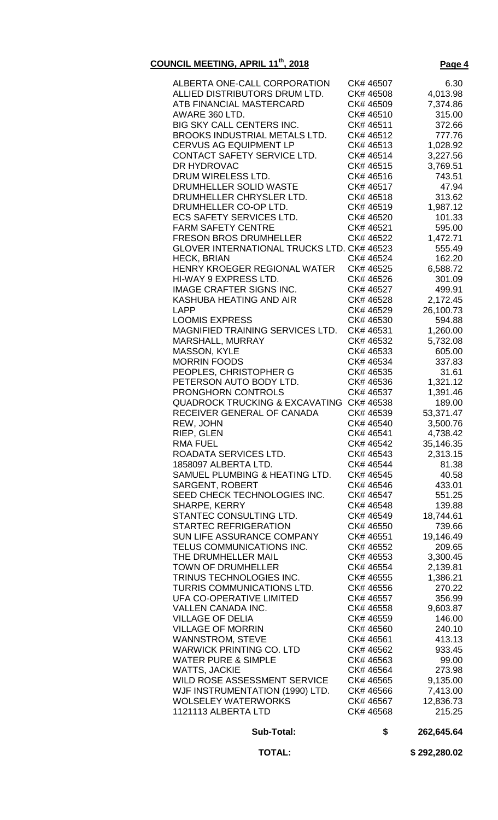### **COUNCIL MEETING, APRIL 11th, 2018 Page 4**

| <b>Sub-Total:</b>                                   | \$                     | 262,645.64           |
|-----------------------------------------------------|------------------------|----------------------|
| 1121113 ALBERTA LTD                                 | CK# 46568              | 215.25               |
| <b>WOLSELEY WATERWORKS</b>                          | CK# 46567              | 12,836.73            |
| WJF INSTRUMENTATION (1990) LTD.                     | CK# 46566              | 7,413.00             |
| WILD ROSE ASSESSMENT SERVICE                        | CK# 46565              | 9,135.00             |
| <b>WATTS, JACKIE</b>                                | CK# 46564              | 273.98               |
| <b>WATER PURE &amp; SIMPLE</b>                      | CK# 46563              | 99.00                |
|                                                     |                        | 933.45               |
| <b>WARWICK PRINTING CO. LTD</b>                     | CK# 46562              | 413.13               |
| <b>VILLAGE OF MORRIN</b><br><b>WANNSTROM, STEVE</b> | CK# 46560<br>CK# 46561 | 240.10               |
| <b>VILLAGE OF DELIA</b>                             | CK# 46559              | 146.00               |
| VALLEN CANADA INC.                                  | CK# 46558              | 9,603.87             |
| UFA CO-OPERATIVE LIMITED                            | CK# 46557              | 356.99               |
|                                                     |                        |                      |
| TURRIS COMMUNICATIONS LTD.                          | CK# 46556              | 270.22               |
| TRINUS TECHNOLOGIES INC.                            | CK# 46555              | 2,139.81<br>1,386.21 |
| <b>TOWN OF DRUMHELLER</b>                           | CK# 46554              |                      |
| THE DRUMHELLER MAIL                                 | CK# 46553              | 3,300.45             |
| TELUS COMMUNICATIONS INC.                           | CK# 46552              | 209.65               |
| <b>SUN LIFE ASSURANCE COMPANY</b>                   | CK# 46551              | 19,146.49            |
| <b>STARTEC REFRIGERATION</b>                        | CK# 46550              | 739.66               |
| STANTEC CONSULTING LTD.                             | CK# 46549              | 18,744.61            |
| SHARPE, KERRY                                       | CK# 46548              | 139.88               |
| SEED CHECK TECHNOLOGIES INC.                        | CK# 46547              | 551.25               |
| SARGENT, ROBERT                                     | CK# 46546              | 433.01               |
| SAMUEL PLUMBING & HEATING LTD.                      | CK# 46545              | 40.58                |
| 1858097 ALBERTA LTD.                                | CK# 46544              | 81.38                |
| ROADATA SERVICES LTD.                               | CK# 46543              | 2,313.15             |
| RMA FUEL                                            | CK# 46542              | 35,146.35            |
| RIEP, GLEN                                          | CK# 46541              | 4,738.42             |
| REW, JOHN                                           | CK# 46540              | 3,500.76             |
| RECEIVER GENERAL OF CANADA                          | CK# 46539              | 53,371.47            |
| <b>QUADROCK TRUCKING &amp; EXCAVATING</b>           | CK# 46538              | 189.00               |
| <b>PRONGHORN CONTROLS</b>                           | CK# 46537              | 1,391.46             |
| PETERSON AUTO BODY LTD.                             | CK# 46536              | 1,321.12             |
| PEOPLES, CHRISTOPHER G                              | CK# 46535              | 31.61                |
| <b>MORRIN FOODS</b>                                 | CK# 46534              | 337.83               |
| <b>MASSON, KYLE</b>                                 | CK# 46533              | 605.00               |
| MARSHALL, MURRAY                                    | CK# 46532              | 5,732.08             |
|                                                     |                        |                      |
| MAGNIFIED TRAINING SERVICES LTD.                    | CK# 46531              | 1,260.00             |
| <b>LOOMIS EXPRESS</b>                               | CK# 46530              | 594.88               |
| <b>LAPP</b>                                         | CK# 46529              | 26,100.73            |
| KASHUBA HEATING AND AIR                             | CK# 46528              | 2,172.45             |
| <b>IMAGE CRAFTER SIGNS INC.</b>                     | CK# 46527              | 499.91               |
| HI-WAY 9 EXPRESS LTD.                               | CK# 46526              | 301.09               |
| HENRY KROEGER REGIONAL WATER                        | CK# 46525              | 6,588.72             |
| <b>HECK, BRIAN</b>                                  | CK# 46524              | 162.20               |
| <b>GLOVER INTERNATIONAL TRUCKS LTD. CK# 46523</b>   |                        | 555.49               |
| <b>FRESON BROS DRUMHELLER</b>                       | CK# 46522              | 1,472.71             |
| <b>FARM SAFETY CENTRE</b>                           | CK# 46521              | 595.00               |
| <b>ECS SAFETY SERVICES LTD.</b>                     | CK# 46520              | 101.33               |
| DRUMHELLER CO-OP LTD.                               | CK# 46519              | 1,987.12             |
| DRUMHELLER CHRYSLER LTD.                            | CK# 46518              | 313.62               |
| DRUMHELLER SOLID WASTE                              | CK# 46517              | 47.94                |
| DRUM WIRELESS LTD.                                  | CK# 46516              | 743.51               |
| DR HYDROVAC                                         | CK# 46515              | 3,769.51             |
| CONTACT SAFETY SERVICE LTD.                         | CK# 46514              | 3,227.56             |
| <b>CERVUS AG EQUIPMENT LP</b>                       | CK# 46513              | 1,028.92             |
| BROOKS INDUSTRIAL METALS LTD.                       | CK# 46512              | 777.76               |
| <b>BIG SKY CALL CENTERS INC.</b>                    | CK# 46511              | 372.66               |
| AWARE 360 LTD.                                      | CK# 46510              | 315.00               |
| ATB FINANCIAL MASTERCARD                            | CK# 46509              | 7,374.86             |
| ALLIED DISTRIBUTORS DRUM LTD.                       | CK# 46508              | 4,013.98             |
| ALBERTA ONE-CALL CORPORATION                        | CK# 46507              | 6.30                 |
|                                                     |                        |                      |

 **TOTAL: \$ 292,280.02**